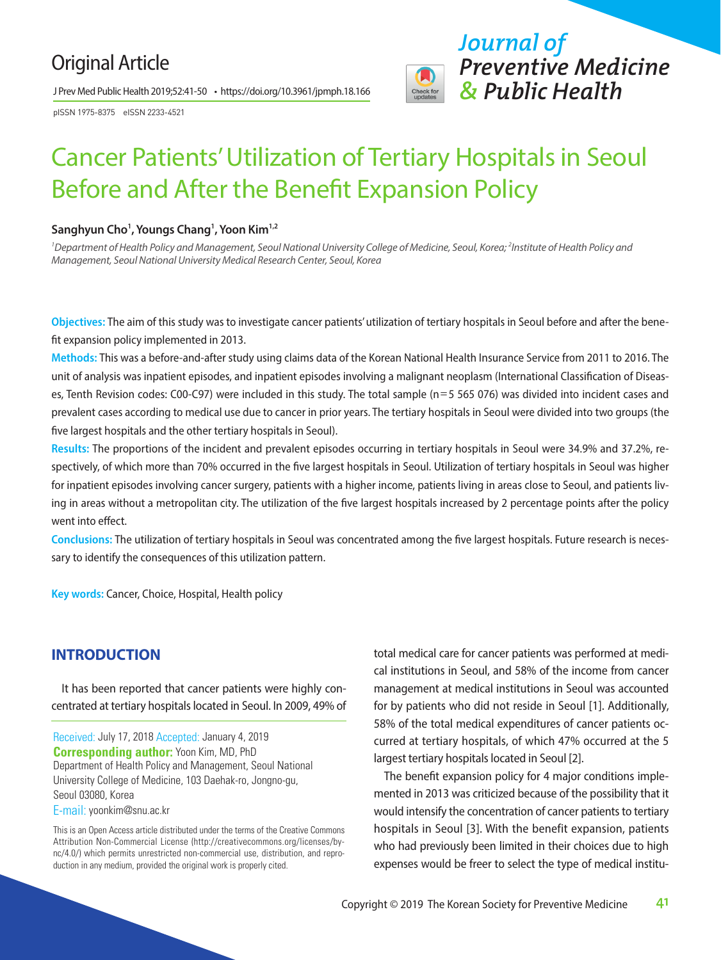## Original Article

J Prev Med Public Health 2019;52:41-50 • https://doi.org/10.3961/jpmph.18.166

pISSN 1975-8375 eISSN 2233-4521



# Cancer Patients' Utilization of Tertiary Hospitals in Seoul Before and After the Benefit Expansion Policy

#### **Sanghyun Cho1 , Youngs Chang1 , Yoon Kim1,2**

<sup>1</sup> Department of Health Policy and Management, Seoul National University College of Medicine, Seoul, Korea; <sup>2</sup>Institute of Health Policy and *Management, Seoul National University Medical Research Center, Seoul, Korea*

**Objectives:** The aim of this study was to investigate cancer patients' utilization of tertiary hospitals in Seoul before and after the benefit expansion policy implemented in 2013.

**Methods:** This was a before-and-after study using claims data of the Korean National Health Insurance Service from 2011 to 2016. The unit of analysis was inpatient episodes, and inpatient episodes involving a malignant neoplasm (International Classification of Diseases, Tenth Revision codes: C00-C97) were included in this study. The total sample (n=5 565 076) was divided into incident cases and prevalent cases according to medical use due to cancer in prior years. The tertiary hospitals in Seoul were divided into two groups (the five largest hospitals and the other tertiary hospitals in Seoul).

**Results:** The proportions of the incident and prevalent episodes occurring in tertiary hospitals in Seoul were 34.9% and 37.2%, respectively, of which more than 70% occurred in the five largest hospitals in Seoul. Utilization of tertiary hospitals in Seoul was higher for inpatient episodes involving cancer surgery, patients with a higher income, patients living in areas close to Seoul, and patients living in areas without a metropolitan city. The utilization of the five largest hospitals increased by 2 percentage points after the policy went into effect.

**Conclusions:** The utilization of tertiary hospitals in Seoul was concentrated among the five largest hospitals. Future research is necessary to identify the consequences of this utilization pattern.

**Key words:** Cancer, Choice, Hospital, Health policy

## **INTRODUCTION**

It has been reported that cancer patients were highly concentrated at tertiary hospitals located in Seoul. In 2009, 49% of

Received: July 17, 2018 Accepted: January 4, 2019 **Corresponding author:** Yoon Kim, MD, PhD Department of Health Policy and Management, Seoul National University College of Medicine, 103 Daehak-ro, Jongno-gu, Seoul 03080, Korea E-mail: yoonkim@snu.ac.kr

This is an Open Access article distributed under the terms of the Creative Commons Attribution Non-Commercial License (http://creativecommons.org/licenses/bync/4.0/) which permits unrestricted non-commercial use, distribution, and reproduction in any medium, provided the original work is properly cited.

total medical care for cancer patients was performed at medical institutions in Seoul, and 58% of the income from cancer management at medical institutions in Seoul was accounted for by patients who did not reside in Seoul [1]. Additionally, 58% of the total medical expenditures of cancer patients occurred at tertiary hospitals, of which 47% occurred at the 5 largest tertiary hospitals located in Seoul [2].

The benefit expansion policy for 4 major conditions implemented in 2013 was criticized because of the possibility that it would intensify the concentration of cancer patients to tertiary hospitals in Seoul [3]. With the benefit expansion, patients who had previously been limited in their choices due to high expenses would be freer to select the type of medical institu-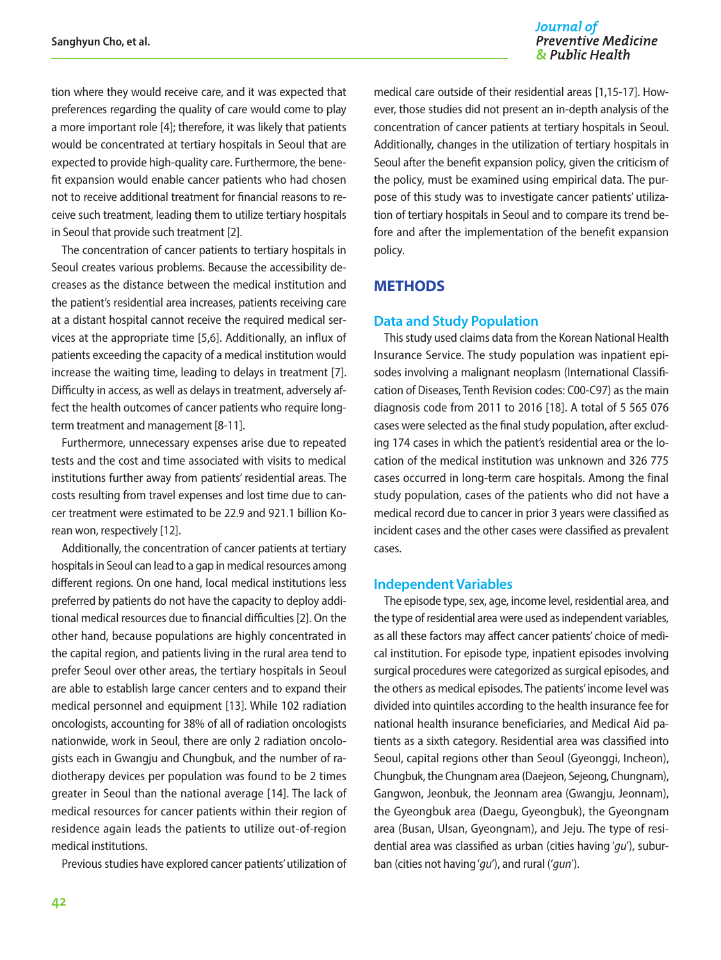tion where they would receive care, and it was expected that preferences regarding the quality of care would come to play a more important role [4]; therefore, it was likely that patients would be concentrated at tertiary hospitals in Seoul that are expected to provide high-quality care. Furthermore, the benefit expansion would enable cancer patients who had chosen not to receive additional treatment for financial reasons to receive such treatment, leading them to utilize tertiary hospitals in Seoul that provide such treatment [2].

The concentration of cancer patients to tertiary hospitals in Seoul creates various problems. Because the accessibility decreases as the distance between the medical institution and the patient's residential area increases, patients receiving care at a distant hospital cannot receive the required medical services at the appropriate time [5,6]. Additionally, an influx of patients exceeding the capacity of a medical institution would increase the waiting time, leading to delays in treatment [7]. Difficulty in access, as well as delays in treatment, adversely affect the health outcomes of cancer patients who require longterm treatment and management [8-11].

Furthermore, unnecessary expenses arise due to repeated tests and the cost and time associated with visits to medical institutions further away from patients' residential areas. The costs resulting from travel expenses and lost time due to cancer treatment were estimated to be 22.9 and 921.1 billion Korean won, respectively [12].

Additionally, the concentration of cancer patients at tertiary hospitals in Seoul can lead to a gap in medical resources among different regions. On one hand, local medical institutions less preferred by patients do not have the capacity to deploy additional medical resources due to financial difficulties [2]. On the other hand, because populations are highly concentrated in the capital region, and patients living in the rural area tend to prefer Seoul over other areas, the tertiary hospitals in Seoul are able to establish large cancer centers and to expand their medical personnel and equipment [13]. While 102 radiation oncologists, accounting for 38% of all of radiation oncologists nationwide, work in Seoul, there are only 2 radiation oncologists each in Gwangju and Chungbuk, and the number of radiotherapy devices per population was found to be 2 times greater in Seoul than the national average [14]. The lack of medical resources for cancer patients within their region of residence again leads the patients to utilize out-of-region medical institutions.

Previous studies have explored cancer patients' utilization of

medical care outside of their residential areas [1,15-17]. However, those studies did not present an in-depth analysis of the concentration of cancer patients at tertiary hospitals in Seoul. Additionally, changes in the utilization of tertiary hospitals in Seoul after the benefit expansion policy, given the criticism of the policy, must be examined using empirical data. The purpose of this study was to investigate cancer patients' utilization of tertiary hospitals in Seoul and to compare its trend before and after the implementation of the benefit expansion policy.

## **METHODS**

#### **Data and Study Population**

This study used claims data from the Korean National Health Insurance Service. The study population was inpatient episodes involving a malignant neoplasm (International Classification of Diseases, Tenth Revision codes: C00-C97) as the main diagnosis code from 2011 to 2016 [18]. A total of 5 565 076 cases were selected as the final study population, after excluding 174 cases in which the patient's residential area or the location of the medical institution was unknown and 326 775 cases occurred in long-term care hospitals. Among the final study population, cases of the patients who did not have a medical record due to cancer in prior 3 years were classified as incident cases and the other cases were classified as prevalent cases.

#### **Independent Variables**

The episode type, sex, age, income level, residential area, and the type of residential area were used as independent variables, as all these factors may affect cancer patients' choice of medical institution. For episode type, inpatient episodes involving surgical procedures were categorized as surgical episodes, and the others as medical episodes. The patients' income level was divided into quintiles according to the health insurance fee for national health insurance beneficiaries, and Medical Aid patients as a sixth category. Residential area was classified into Seoul, capital regions other than Seoul (Gyeonggi, Incheon), Chungbuk, the Chungnam area (Daejeon, Sejeong, Chungnam), Gangwon, Jeonbuk, the Jeonnam area (Gwangju, Jeonnam), the Gyeongbuk area (Daegu, Gyeongbuk), the Gyeongnam area (Busan, Ulsan, Gyeongnam), and Jeju. The type of residential area was classified as urban (cities having '*gu*'), suburban (cities not having '*gu*'), and rural ('*gun*').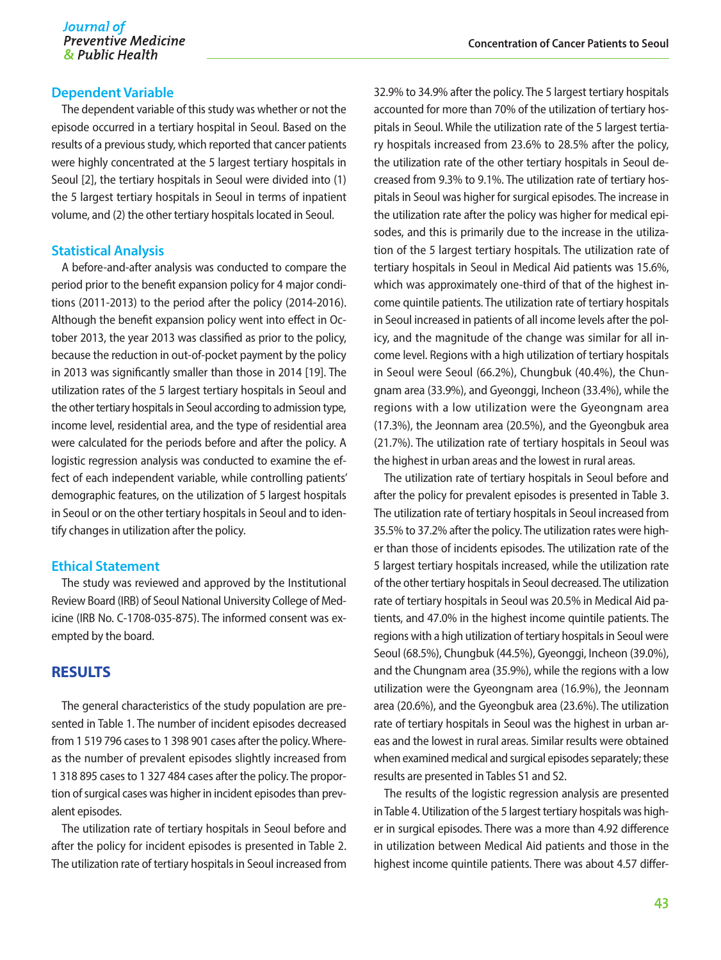#### **Dependent Variable**

The dependent variable of this study was whether or not the episode occurred in a tertiary hospital in Seoul. Based on the results of a previous study, which reported that cancer patients were highly concentrated at the 5 largest tertiary hospitals in Seoul [2], the tertiary hospitals in Seoul were divided into (1) the 5 largest tertiary hospitals in Seoul in terms of inpatient volume, and (2) the other tertiary hospitals located in Seoul.

#### **Statistical Analysis**

A before-and-after analysis was conducted to compare the period prior to the benefit expansion policy for 4 major conditions (2011-2013) to the period after the policy (2014-2016). Although the benefit expansion policy went into effect in October 2013, the year 2013 was classified as prior to the policy, because the reduction in out-of-pocket payment by the policy in 2013 was significantly smaller than those in 2014 [19]. The utilization rates of the 5 largest tertiary hospitals in Seoul and the other tertiary hospitals in Seoul according to admission type, income level, residential area, and the type of residential area were calculated for the periods before and after the policy. A logistic regression analysis was conducted to examine the effect of each independent variable, while controlling patients' demographic features, on the utilization of 5 largest hospitals in Seoul or on the other tertiary hospitals in Seoul and to identify changes in utilization after the policy.

#### **Ethical Statement**

The study was reviewed and approved by the Institutional Review Board (IRB) of Seoul National University College of Medicine (IRB No. C-1708-035-875). The informed consent was exempted by the board.

#### **RESULTS**

The general characteristics of the study population are presented in Table 1. The number of incident episodes decreased from 1 519 796 cases to 1 398 901 cases after the policy. Whereas the number of prevalent episodes slightly increased from 1 318 895 cases to 1 327 484 cases after the policy. The proportion of surgical cases was higher in incident episodes than prevalent episodes.

The utilization rate of tertiary hospitals in Seoul before and after the policy for incident episodes is presented in Table 2. The utilization rate of tertiary hospitals in Seoul increased from

32.9% to 34.9% after the policy. The 5 largest tertiary hospitals accounted for more than 70% of the utilization of tertiary hospitals in Seoul. While the utilization rate of the 5 largest tertiary hospitals increased from 23.6% to 28.5% after the policy, the utilization rate of the other tertiary hospitals in Seoul decreased from 9.3% to 9.1%. The utilization rate of tertiary hospitals in Seoul was higher for surgical episodes. The increase in the utilization rate after the policy was higher for medical episodes, and this is primarily due to the increase in the utilization of the 5 largest tertiary hospitals. The utilization rate of tertiary hospitals in Seoul in Medical Aid patients was 15.6%, which was approximately one-third of that of the highest income quintile patients. The utilization rate of tertiary hospitals in Seoul increased in patients of all income levels after the policy, and the magnitude of the change was similar for all income level. Regions with a high utilization of tertiary hospitals in Seoul were Seoul (66.2%), Chungbuk (40.4%), the Chungnam area (33.9%), and Gyeonggi, Incheon (33.4%), while the regions with a low utilization were the Gyeongnam area (17.3%), the Jeonnam area (20.5%), and the Gyeongbuk area (21.7%). The utilization rate of tertiary hospitals in Seoul was the highest in urban areas and the lowest in rural areas.

The utilization rate of tertiary hospitals in Seoul before and after the policy for prevalent episodes is presented in Table 3. The utilization rate of tertiary hospitals in Seoul increased from 35.5% to 37.2% after the policy. The utilization rates were higher than those of incidents episodes. The utilization rate of the 5 largest tertiary hospitals increased, while the utilization rate of the other tertiary hospitals in Seoul decreased. The utilization rate of tertiary hospitals in Seoul was 20.5% in Medical Aid patients, and 47.0% in the highest income quintile patients. The regions with a high utilization of tertiary hospitals in Seoul were Seoul (68.5%), Chungbuk (44.5%), Gyeonggi, Incheon (39.0%), and the Chungnam area (35.9%), while the regions with a low utilization were the Gyeongnam area (16.9%), the Jeonnam area (20.6%), and the Gyeongbuk area (23.6%). The utilization rate of tertiary hospitals in Seoul was the highest in urban areas and the lowest in rural areas. Similar results were obtained when examined medical and surgical episodes separately; these results are presented in Tables S1 and S2.

The results of the logistic regression analysis are presented in Table 4. Utilization of the 5 largest tertiary hospitals was higher in surgical episodes. There was a more than 4.92 difference in utilization between Medical Aid patients and those in the highest income quintile patients. There was about 4.57 differ-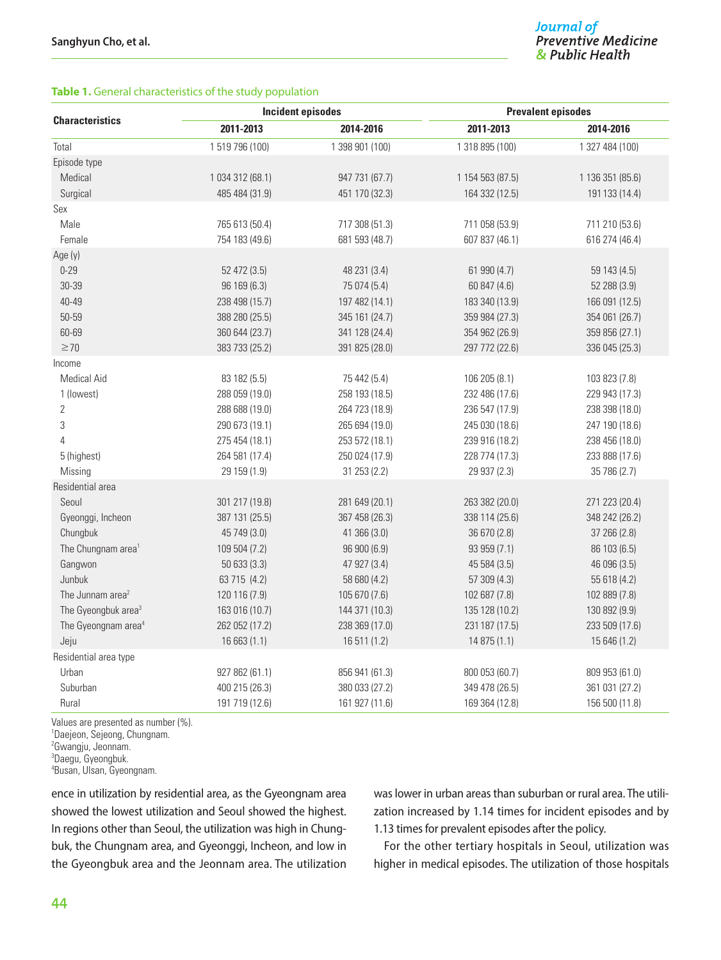#### **Table 1.** General characteristics of the study population

|                                 |                  | <b>Incident episodes</b> | <b>Prevalent episodes</b> |                  |  |  |
|---------------------------------|------------------|--------------------------|---------------------------|------------------|--|--|
| <b>Characteristics</b>          | 2011-2013        | 2014-2016                | 2011-2013                 | 2014-2016        |  |  |
| Total                           | 1519796 (100)    | 1 398 901 (100)          | 1 318 895 (100)           | 1 327 484 (100)  |  |  |
| Episode type                    |                  |                          |                           |                  |  |  |
| Medical                         | 1 034 312 (68.1) | 947 731 (67.7)           | 1 154 563 (87.5)          | 1 136 351 (85.6) |  |  |
| Surgical                        | 485 484 (31.9)   | 451 170 (32.3)           | 164 332 (12.5)            | 191 133 (14.4)   |  |  |
| Sex                             |                  |                          |                           |                  |  |  |
| Male                            | 765 613 (50.4)   | 717 308 (51.3)           | 711 058 (53.9)            | 711 210 (53.6)   |  |  |
| Female                          | 754 183 (49.6)   | 681 593 (48.7)           | 607 837 (46.1)            | 616 274 (46.4)   |  |  |
| Age (y)                         |                  |                          |                           |                  |  |  |
| $0 - 29$                        | 52 472 (3.5)     | 48 231 (3.4)             | 61 990 (4.7)              | 59 143 (4.5)     |  |  |
| 30-39                           | 96 169 (6.3)     | 75 074 (5.4)             | 60 847 (4.6)              | 52 288 (3.9)     |  |  |
| 40-49                           | 238 498 (15.7)   | 197 482 (14.1)           | 183 340 (13.9)            | 166 091 (12.5)   |  |  |
| 50-59                           | 388 280 (25.5)   | 345 161 (24.7)           | 359 984 (27.3)            | 354 061 (26.7)   |  |  |
| 60-69                           | 360 644 (23.7)   | 341 128 (24.4)           | 354 962 (26.9)            | 359 856 (27.1)   |  |  |
| $\geq 70$                       | 383 733 (25.2)   | 391 825 (28.0)           | 297 772 (22.6)            | 336 045 (25.3)   |  |  |
| Income                          |                  |                          |                           |                  |  |  |
| <b>Medical Aid</b>              | 83 182 (5.5)     | 75 442 (5.4)             | 106 205 (8.1)             | 103 823 (7.8)    |  |  |
| 1 (lowest)                      | 288 059 (19.0)   | 258 193 (18.5)           | 232 486 (17.6)            | 229 943 (17.3)   |  |  |
| $\sqrt{2}$                      | 288 688 (19.0)   | 264 723 (18.9)           | 236 547 (17.9)            | 238 398 (18.0)   |  |  |
| 3                               | 290 673 (19.1)   | 265 694 (19.0)           | 245 030 (18.6)            | 247 190 (18.6)   |  |  |
| $\overline{4}$                  | 275 454 (18.1)   | 253 572 (18.1)           | 239 916 (18.2)            | 238 456 (18.0)   |  |  |
| 5 (highest)                     | 264 581 (17.4)   | 250 024 (17.9)           | 228 774 (17.3)            | 233 888 (17.6)   |  |  |
| Missing                         | 29 159 (1.9)     | 31 253 (2.2)             | 29 937 (2.3)              | 35 786 (2.7)     |  |  |
| Residential area                |                  |                          |                           |                  |  |  |
| Seoul                           | 301 217 (19.8)   | 281 649 (20.1)           | 263 382 (20.0)            | 271 223 (20.4)   |  |  |
| Gyeonggi, Incheon               | 387 131 (25.5)   | 367 458 (26.3)           | 338 114 (25.6)            | 348 242 (26.2)   |  |  |
| Chungbuk                        | 45 749 (3.0)     | 41 366 (3.0)             | 36 670 (2.8)              | 37 266 (2.8)     |  |  |
| The Chungnam area <sup>1</sup>  | 109 504 (7.2)    | 96 900 (6.9)             | 93 959 (7.1)              | 86 103 (6.5)     |  |  |
| Gangwon                         | 50 633 (3.3)     | 47 927 (3.4)             | 45 584 (3.5)              | 46 096 (3.5)     |  |  |
| Junbuk                          | 63 715 (4.2)     | 58 680 (4.2)             | 57 309 (4.3)              | 55 618 (4.2)     |  |  |
| The Junnam area <sup>2</sup>    | 120 116 (7.9)    | 105 670 (7.6)            | 102 687 (7.8)             | 102 889 (7.8)    |  |  |
| The Gyeongbuk area <sup>3</sup> | 163 016 (10.7)   | 144 371 (10.3)           | 135 128 (10.2)            | 130 892 (9.9)    |  |  |
| The Gyeongnam area <sup>4</sup> | 262 052 (17.2)   | 238 369 (17.0)           | 231 187 (17.5)            | 233 509 (17.6)   |  |  |
| Jeju                            | 16 663 (1.1)     | 16 511 (1.2)             | 14 875 (1.1)              | 15 646 (1.2)     |  |  |
| Residential area type           |                  |                          |                           |                  |  |  |
| Urban                           | 927 862 (61.1)   | 856 941 (61.3)           | 800 053 (60.7)            | 809 953 (61.0)   |  |  |
| Suburban                        | 400 215 (26.3)   | 380 033 (27.2)           | 349 478 (26.5)            | 361 031 (27.2)   |  |  |
| Rural                           | 191 719 (12.6)   | 161 927 (11.6)           | 169 364 (12.8)            | 156 500 (11.8)   |  |  |

Values are presented as number (%).

1 Daejeon, Sejeong, Chungnam.

2 Gwangju, Jeonnam.

ence in utilization by residential area, as the Gyeongnam area showed the lowest utilization and Seoul showed the highest. In regions other than Seoul, the utilization was high in Chungbuk, the Chungnam area, and Gyeonggi, Incheon, and low in the Gyeongbuk area and the Jeonnam area. The utilization was lower in urban areas than suburban or rural area. The utilization increased by 1.14 times for incident episodes and by 1.13 times for prevalent episodes after the policy.

For the other tertiary hospitals in Seoul, utilization was higher in medical episodes. The utilization of those hospitals

<sup>3</sup> Daegu, Gyeongbuk.

<sup>4</sup> Busan, Ulsan, Gyeongnam.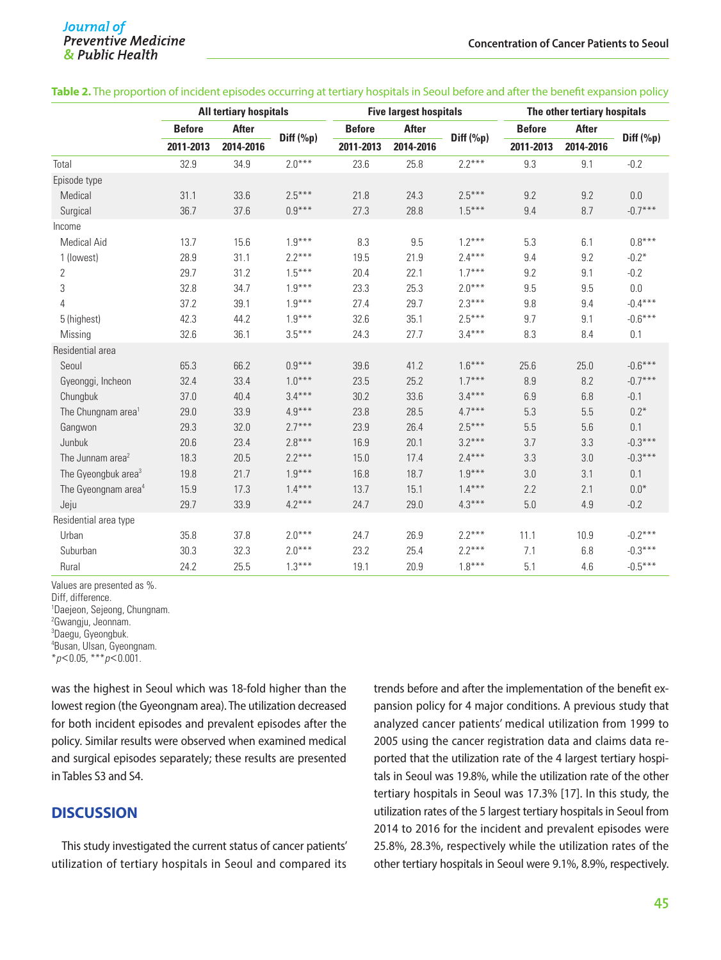|                                 | <b>All tertiary hospitals</b> |              | <b>Five largest hospitals</b> |               |           | The other tertiary hospitals |               |              |              |
|---------------------------------|-------------------------------|--------------|-------------------------------|---------------|-----------|------------------------------|---------------|--------------|--------------|
|                                 | <b>Before</b>                 | <b>After</b> |                               | <b>Before</b> | After     |                              | <b>Before</b> | <b>After</b> |              |
|                                 | 2011-2013                     | 2014-2016    | Diff $(\%p)$                  | 2011-2013     | 2014-2016 | Diff $(\%p)$                 | 2011-2013     | 2014-2016    | Diff $(\%p)$ |
| Total                           | 32.9                          | 34.9         | $2.0***$                      | 23.6          | 25.8      | $2.2***$                     | 9.3           | 9.1          | $-0.2$       |
| Episode type                    |                               |              |                               |               |           |                              |               |              |              |
| Medical                         | 31.1                          | 33.6         | $2.5***$                      | 21.8          | 24.3      | $2.5***$                     | 9.2           | 9.2          | $0.0\,$      |
| Surgical                        | 36.7                          | 37.6         | $0.9***$                      | 27.3          | 28.8      | $1.5***$                     | 9.4           | 8.7          | $-0.7***$    |
| Income                          |                               |              |                               |               |           |                              |               |              |              |
| <b>Medical Aid</b>              | 13.7                          | 15.6         | $1.9***$                      | 8.3           | 9.5       | $1.2***$                     | 5.3           | 6.1          | $0.8***$     |
| 1 (lowest)                      | 28.9                          | 31.1         | $2.2***$                      | 19.5          | 21.9      | $2.4***$                     | 9.4           | 9.2          | $-0.2*$      |
| 2                               | 29.7                          | 31.2         | $1.5***$                      | 20.4          | 22.1      | $1.7***$                     | 9.2           | 9.1          | $-0.2$       |
| 3                               | 32.8                          | 34.7         | $1.9***$                      | 23.3          | 25.3      | $2.0***$                     | 9.5           | 9.5          | 0.0          |
| 4                               | 37.2                          | 39.1         | $1.9***$                      | 27.4          | 29.7      | $2.3***$                     | 9.8           | 9.4          | $-0.4***$    |
| 5 (highest)                     | 42.3                          | 44.2         | $1.9***$                      | 32.6          | 35.1      | $2.5***$                     | 9.7           | 9.1          | $-0.6***$    |
| Missing                         | 32.6                          | 36.1         | $3.5***$                      | 24.3          | 27.7      | $3.4***$                     | 8.3           | 8.4          | 0.1          |
| Residential area                |                               |              |                               |               |           |                              |               |              |              |
| Seoul                           | 65.3                          | 66.2         | $0.9***$                      | 39.6          | 41.2      | $1.6***$                     | 25.6          | 25.0         | $-0.6***$    |
| Gyeonggi, Incheon               | 32.4                          | 33.4         | $1.0***$                      | 23.5          | 25.2      | $1.7***$                     | 8.9           | 8.2          | $-0.7***$    |
| Chungbuk                        | 37.0                          | 40.4         | $3.4***$                      | 30.2          | 33.6      | $3.4***$                     | 6.9           | 6.8          | $-0.1$       |
| The Chungnam area <sup>1</sup>  | 29.0                          | 33.9         | $4.9***$                      | 23.8          | 28.5      | $4.7***$                     | 5.3           | 5.5          | $0.2*$       |
| Gangwon                         | 29.3                          | 32.0         | $2.7***$                      | 23.9          | 26.4      | $2.5***$                     | 5.5           | 5.6          | 0.1          |
| Junbuk                          | 20.6                          | 23.4         | $2.8***$                      | 16.9          | 20.1      | $3.2***$                     | 3.7           | 3.3          | $-0.3***$    |
| The Junnam area <sup>2</sup>    | 18.3                          | 20.5         | $2.2***$                      | 15.0          | 17.4      | $2.4***$                     | 3.3           | 3.0          | $-0.3***$    |
| The Gyeongbuk area <sup>3</sup> | 19.8                          | 21.7         | $1.9***$                      | 16.8          | 18.7      | $1.9***$                     | 3.0           | 3.1          | 0.1          |
| The Gyeongnam area <sup>4</sup> | 15.9                          | 17.3         | $1.4***$                      | 13.7          | 15.1      | $1.4***$                     | 2.2           | 2.1          | $0.0*$       |
| Jeju                            | 29.7                          | 33.9         | $4.2***$                      | 24.7          | 29.0      | $4.3***$                     | 5.0           | 4.9          | $-0.2$       |
| Residential area type           |                               |              |                               |               |           |                              |               |              |              |
| Urban                           | 35.8                          | 37.8         | $2.0***$                      | 24.7          | 26.9      | $2.2***$                     | 11.1          | 10.9         | $-0.2***$    |
| Suburban                        | 30.3                          | 32.3         | $2.0***$                      | 23.2          | 25.4      | $2.2***$                     | 7.1           | 6.8          | $-0.3***$    |
| Rural                           | 24.2                          | 25.5         | $1.3***$                      | 19.1          | 20.9      | $1.8***$                     | 5.1           | 4.6          | $-0.5***$    |

#### **Table 2.** The proportion of incident episodes occurring at tertiary hospitals in Seoul before and after the benefit expansion policy

Values are presented as %.

Diff, difference.

1 Daejeon, Sejeong, Chungnam.

<sup>2</sup> Gwangju, Jeonnam.

3 Daegu, Gyeongbuk.

4 Busan, Ulsan, Gyeongnam.

\**p*<0.05, \*\*\**p*<0.001.

was the highest in Seoul which was 18-fold higher than the lowest region (the Gyeongnam area). The utilization decreased for both incident episodes and prevalent episodes after the policy. Similar results were observed when examined medical and surgical episodes separately; these results are presented in Tables S3 and S4.

## **DISCUSSION**

This study investigated the current status of cancer patients' utilization of tertiary hospitals in Seoul and compared its trends before and after the implementation of the benefit expansion policy for 4 major conditions. A previous study that analyzed cancer patients' medical utilization from 1999 to 2005 using the cancer registration data and claims data reported that the utilization rate of the 4 largest tertiary hospitals in Seoul was 19.8%, while the utilization rate of the other tertiary hospitals in Seoul was 17.3% [17]. In this study, the utilization rates of the 5 largest tertiary hospitals in Seoul from 2014 to 2016 for the incident and prevalent episodes were 25.8%, 28.3%, respectively while the utilization rates of the other tertiary hospitals in Seoul were 9.1%, 8.9%, respectively.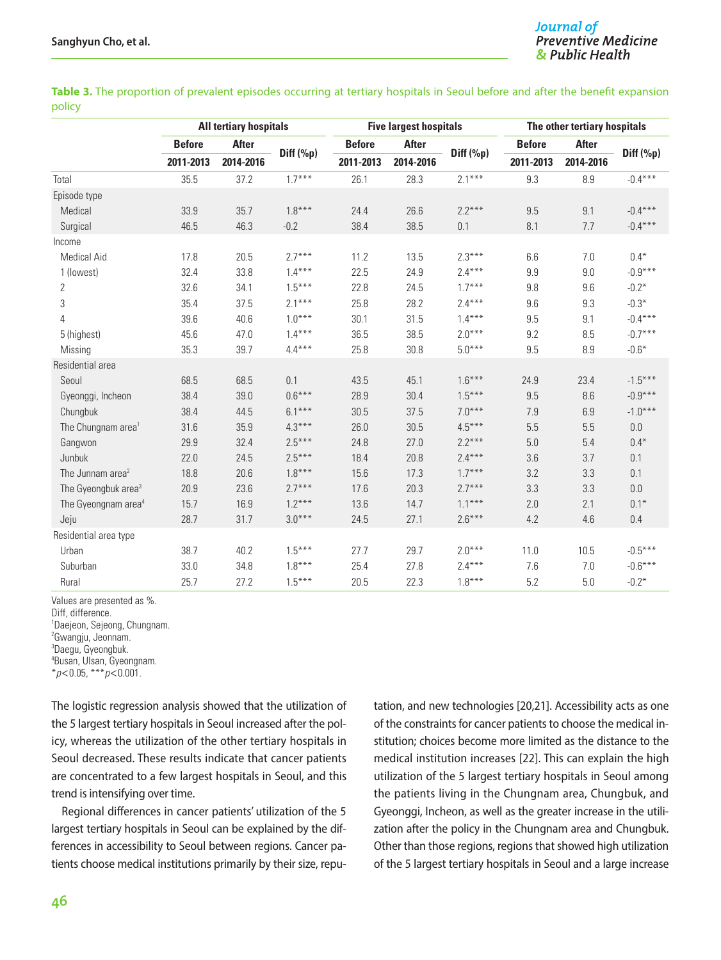| Table 3. The proportion of prevalent episodes occurring at tertiary hospitals in Seoul before and after the benefit expansion |  |  |  |  |
|-------------------------------------------------------------------------------------------------------------------------------|--|--|--|--|
| policy                                                                                                                        |  |  |  |  |

|                                 | <b>All tertiary hospitals</b> |              | <b>Five largest hospitals</b> |               |              | The other tertiary hospitals |               |              |           |
|---------------------------------|-------------------------------|--------------|-------------------------------|---------------|--------------|------------------------------|---------------|--------------|-----------|
|                                 | <b>Before</b>                 | <b>After</b> |                               | <b>Before</b> | <b>After</b> | Diff $(\%p)$                 | <b>Before</b> | <b>After</b> | Diff (%p) |
|                                 | 2011-2013                     | 2014-2016    | Diff $(\%p)$                  | 2011-2013     | 2014-2016    |                              | 2011-2013     | 2014-2016    |           |
| Total                           | 35.5                          | 37.2         | $1.7***$                      | 26.1          | 28.3         | $2.1***$                     | 9.3           | 8.9          | $-0.4***$ |
| Episode type                    |                               |              |                               |               |              |                              |               |              |           |
| Medical                         | 33.9                          | 35.7         | $1.8***$                      | 24.4          | 26.6         | $2.2***$                     | 9.5           | 9.1          | $-0.4***$ |
| Surgical                        | 46.5                          | 46.3         | $-0.2$                        | 38.4          | 38.5         | 0.1                          | 8.1           | 7.7          | $-0.4***$ |
| Income                          |                               |              |                               |               |              |                              |               |              |           |
| <b>Medical Aid</b>              | 17.8                          | 20.5         | $2.7***$                      | 11.2          | 13.5         | $2.3***$                     | 6.6           | 7.0          | $0.4*$    |
| 1 (lowest)                      | 32.4                          | 33.8         | $1.4***$                      | 22.5          | 24.9         | $2.4***$                     | 9.9           | 9.0          | $-0.9***$ |
| 2                               | 32.6                          | 34.1         | $1.5***$                      | 22.8          | 24.5         | $1.7***$                     | 9.8           | 9.6          | $-0.2*$   |
| 3                               | 35.4                          | 37.5         | $2.1***$                      | 25.8          | 28.2         | $2.4***$                     | 9.6           | 9.3          | $-0.3*$   |
| 4                               | 39.6                          | 40.6         | $1.0***$                      | 30.1          | 31.5         | $1.4***$                     | 9.5           | 9.1          | $-0.4***$ |
| 5 (highest)                     | 45.6                          | 47.0         | $1.4***$                      | 36.5          | 38.5         | $2.0***$                     | 9.2           | 8.5          | $-0.7***$ |
| Missing                         | 35.3                          | 39.7         | $4.4***$                      | 25.8          | 30.8         | $5.0***$                     | 9.5           | 8.9          | $-0.6*$   |
| Residential area                |                               |              |                               |               |              |                              |               |              |           |
| Seoul                           | 68.5                          | 68.5         | 0.1                           | 43.5          | 45.1         | $1.6***$                     | 24.9          | 23.4         | $-1.5***$ |
| Gyeonggi, Incheon               | 38.4                          | 39.0         | $0.6***$                      | 28.9          | 30.4         | $1.5***$                     | 9.5           | 8.6          | $-0.9***$ |
| Chungbuk                        | 38.4                          | 44.5         | $6.1***$                      | 30.5          | 37.5         | $7.0***$                     | 7.9           | 6.9          | $-1.0***$ |
| The Chungnam area <sup>1</sup>  | 31.6                          | 35.9         | $4.3***$                      | 26.0          | 30.5         | $4.5***$                     | 5.5           | 5.5          | 0.0       |
| Gangwon                         | 29.9                          | 32.4         | $2.5***$                      | 24.8          | 27.0         | $2.2***$                     | 5.0           | 5.4          | $0.4*$    |
| Junbuk                          | 22.0                          | 24.5         | $2.5***$                      | 18.4          | 20.8         | $2.4***$                     | 3.6           | 3.7          | 0.1       |
| The Junnam area <sup>2</sup>    | 18.8                          | 20.6         | $1.8***$                      | 15.6          | 17.3         | $1.7***$                     | 3.2           | 3.3          | 0.1       |
| The Gyeongbuk area <sup>3</sup> | 20.9                          | 23.6         | $2.7***$                      | 17.6          | 20.3         | $2.7***$                     | 3.3           | 3.3          | 0.0       |
| The Gyeongnam area <sup>4</sup> | 15.7                          | 16.9         | $1.2***$                      | 13.6          | 14.7         | $1.1***$                     | 2.0           | 2.1          | $0.1*$    |
| Jeju                            | 28.7                          | 31.7         | $3.0***$                      | 24.5          | 27.1         | $2.6***$                     | 4.2           | 4.6          | 0.4       |
| Residential area type           |                               |              |                               |               |              |                              |               |              |           |
| Urban                           | 38.7                          | 40.2         | $1.5***$                      | 27.7          | 29.7         | $2.0***$                     | 11.0          | 10.5         | $-0.5***$ |
| Suburban                        | 33.0                          | 34.8         | $1.8***$                      | 25.4          | 27.8         | $2.4***$                     | 7.6           | 7.0          | $-0.6***$ |
| Rural                           | 25.7                          | 27.2         | $1.5***$                      | 20.5          | 22.3         | $1.8***$                     | 5.2           | 5.0          | $-0.2*$   |

Values are presented as %.

Diff, difference.

1 Daejeon, Sejeong, Chungnam.

2 Gwangju, Jeonnam.

3 Daegu, Gyeongbuk.

4 Busan, Ulsan, Gyeongnam.

\**p*<0.05, \*\*\**p*<0.001.

The logistic regression analysis showed that the utilization of the 5 largest tertiary hospitals in Seoul increased after the policy, whereas the utilization of the other tertiary hospitals in Seoul decreased. These results indicate that cancer patients are concentrated to a few largest hospitals in Seoul, and this trend is intensifying over time.

Regional differences in cancer patients' utilization of the 5 largest tertiary hospitals in Seoul can be explained by the differences in accessibility to Seoul between regions. Cancer patients choose medical institutions primarily by their size, reputation, and new technologies [20,21]. Accessibility acts as one of the constraints for cancer patients to choose the medical institution; choices become more limited as the distance to the medical institution increases [22]. This can explain the high utilization of the 5 largest tertiary hospitals in Seoul among the patients living in the Chungnam area, Chungbuk, and Gyeonggi, Incheon, as well as the greater increase in the utilization after the policy in the Chungnam area and Chungbuk. Other than those regions, regions that showed high utilization of the 5 largest tertiary hospitals in Seoul and a large increase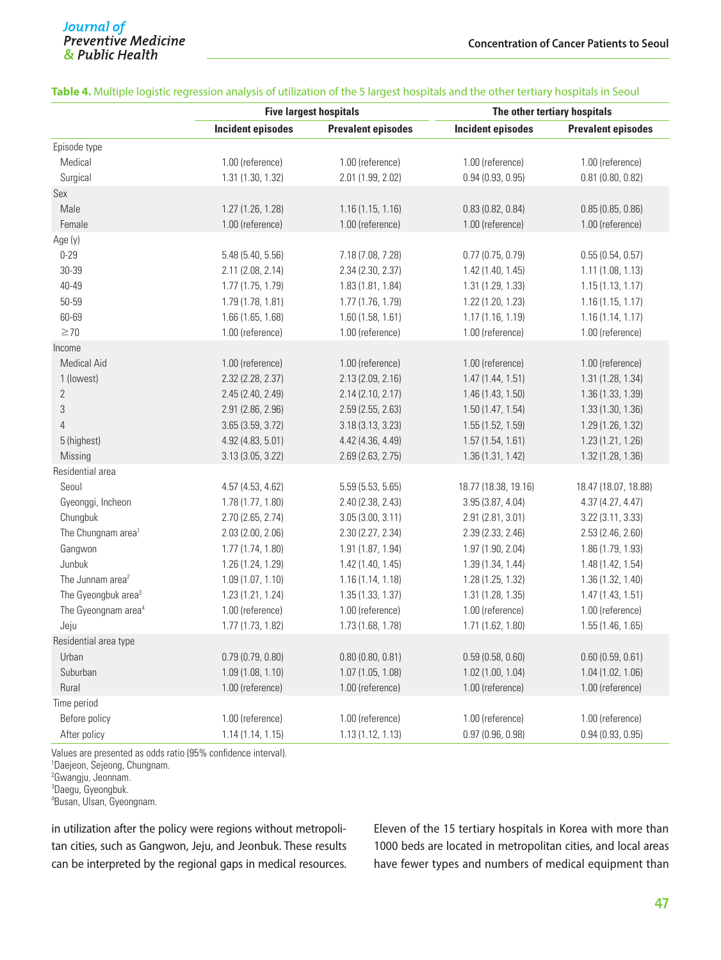|                                 |                          | <b>Five largest hospitals</b> | The other tertiary hospitals |                           |  |  |
|---------------------------------|--------------------------|-------------------------------|------------------------------|---------------------------|--|--|
|                                 | <b>Incident episodes</b> | <b>Prevalent episodes</b>     | <b>Incident episodes</b>     | <b>Prevalent episodes</b> |  |  |
| Episode type                    |                          |                               |                              |                           |  |  |
| Medical                         | 1.00 (reference)         | 1.00 (reference)              | 1.00 (reference)             | 1.00 (reference)          |  |  |
| Surgical                        | 1.31 (1.30, 1.32)        | 2.01 (1.99, 2.02)             | 0.94(0.93, 0.95)             | $0.81$ (0.80, 0.82)       |  |  |
| Sex                             |                          |                               |                              |                           |  |  |
| Male                            | 1.27 (1.26, 1.28)        | 1.16(1.15, 1.16)              | 0.83(0.82, 0.84)             | 0.85(0.85, 0.86)          |  |  |
| Female                          | 1.00 (reference)         | 1.00 (reference)              | 1.00 (reference)             | 1.00 (reference)          |  |  |
| Age (y)                         |                          |                               |                              |                           |  |  |
| $0 - 29$                        | 5.48 (5.40, 5.56)        | 7.18 (7.08, 7.28)             | $0.77$ (0.75, 0.79)          | 0.55(0.54, 0.57)          |  |  |
| 30-39                           | 2.11 (2.08, 2.14)        | 2.34 (2.30, 2.37)             | 1.42 (1.40, 1.45)            | 1.11 (1.08, 1.13)         |  |  |
| 40-49                           | 1.77 (1.75, 1.79)        | 1.83 (1.81, 1.84)             | 1.31 (1.29, 1.33)            | 1.15(1.13, 1.17)          |  |  |
| 50-59                           | 1.79 (1.78, 1.81)        | 1.77 (1.76, 1.79)             | 1.22 (1.20, 1.23)            | 1.16(1.15, 1.17)          |  |  |
| 60-69                           | 1.66 (1.65, 1.68)        | 1.60 (1.58, 1.61)             | 1.17(1.16, 1.19)             | 1.16(1.14, 1.17)          |  |  |
| $\geq$ 70                       | 1.00 (reference)         | 1.00 (reference)              | 1.00 (reference)             | 1.00 (reference)          |  |  |
| Income                          |                          |                               |                              |                           |  |  |
| <b>Medical Aid</b>              | 1.00 (reference)         | 1.00 (reference)              | 1.00 (reference)             | 1.00 (reference)          |  |  |
| 1 (lowest)                      | 2.32 (2.28, 2.37)        | 2.13 (2.09, 2.16)             | 1.47 (1.44, 1.51)            | 1.31 (1.28, 1.34)         |  |  |
| $\overline{2}$                  | 2.45 (2.40, 2.49)        | 2.14 (2.10, 2.17)             | 1.46 (1.43, 1.50)            | 1.36 (1.33, 1.39)         |  |  |
| $\sqrt{3}$                      | 2.91 (2.86, 2.96)        | 2.59 (2.55, 2.63)             | 1.50(1.47, 1.54)             | 1.33 (1.30, 1.36)         |  |  |
| $\overline{4}$                  | 3.65 (3.59, 3.72)        | 3.18 (3.13, 3.23)             | 1.55 (1.52, 1.59)            | 1.29 (1.26, 1.32)         |  |  |
| 5 (highest)                     | 4.92 (4.83, 5.01)        | 4.42 (4.36, 4.49)             | 1.57 (1.54, 1.61)            | 1.23 (1.21, 1.26)         |  |  |
| Missing                         | 3.13 (3.05, 3.22)        | 2.69 (2.63, 2.75)             | 1.36 (1.31, 1.42)            | 1.32 (1.28, 1.36)         |  |  |
| Residential area                |                          |                               |                              |                           |  |  |
| Seoul                           | 4.57 (4.53, 4.62)        | 5.59 (5.53, 5.65)             | 18.77 (18.38, 19.16)         | 18.47 (18.07, 18.88)      |  |  |
| Gyeonggi, Incheon               | 1.78 (1.77, 1.80)        | 2.40 (2.38, 2.43)             | 3.95(3.87, 4.04)             | 4.37 (4.27, 4.47)         |  |  |
| Chungbuk                        | 2.70 (2.65, 2.74)        | 3.05(3.00, 3.11)              | 2.91 (2.81, 3.01)            | 3.22 (3.11, 3.33)         |  |  |
| The Chungnam area <sup>1</sup>  | 2.03 (2.00, 2.06)        | 2.30 (2.27, 2.34)             | 2.39 (2.33, 2.46)            | 2.53 (2.46, 2.60)         |  |  |
| Gangwon                         | 1.77 (1.74, 1.80)        | 1.91 (1.87, 1.94)             | 1.97 (1.90, 2.04)            | 1.86 (1.79, 1.93)         |  |  |
| Junbuk                          | 1.26 (1.24, 1.29)        | 1.42 (1.40, 1.45)             | 1.39 (1.34, 1.44)            | 1.48 (1.42, 1.54)         |  |  |
| The Junnam area <sup>2</sup>    | 1.09(1.07, 1.10)         | 1.16(1.14, 1.18)              | 1.28 (1.25, 1.32)            | 1.36 (1.32, 1.40)         |  |  |
| The Gyeongbuk area <sup>3</sup> | 1.23 (1.21, 1.24)        | 1.35 (1.33, 1.37)             | 1.31 (1.28, 1.35)            | 1.47(1.43, 1.51)          |  |  |
| The Gyeongnam area <sup>4</sup> | 1.00 (reference)         | 1.00 (reference)              | 1.00 (reference)             | 1.00 (reference)          |  |  |
| Jeju                            | 1.77 (1.73, 1.82)        | 1.73 (1.68, 1.78)             | 1.71 (1.62, 1.80)            | 1.55 (1.46, 1.65)         |  |  |
| Residential area type           |                          |                               |                              |                           |  |  |
| Urban                           | 0.79(0.79, 0.80)         | 0.80(0.80, 0.81)              | 0.59(0.58, 0.60)             | 0.60(0.59, 0.61)          |  |  |
| Suburban                        | 1.09(1.08, 1.10)         | 1.07 (1.05, 1.08)             | 1.02(1.00, 1.04)             | 1.04 (1.02, 1.06)         |  |  |
| Rural                           | 1.00 (reference)         | 1.00 (reference)              | 1.00 (reference)             | 1.00 (reference)          |  |  |
| Time period                     |                          |                               |                              |                           |  |  |
| Before policy                   | 1.00 (reference)         | 1.00 (reference)              | 1.00 (reference)             | 1.00 (reference)          |  |  |
| After policy                    | 1.14(1.14, 1.15)         | 1.13 (1.12, 1.13)             | 0.97 (0.96, 0.98)            | 0.94(0.93, 0.95)          |  |  |

#### **Table 4.** Multiple logistic regression analysis of utilization of the 5 largest hospitals and the other tertiary hospitals in Seoul

Values are presented as odds ratio (95% confidence interval).

1 Daejeon, Sejeong, Chungnam.

2 Gwangju, Jeonnam.

3 Daegu, Gyeongbuk.

4 Busan, Ulsan, Gyeongnam.

in utilization after the policy were regions without metropolitan cities, such as Gangwon, Jeju, and Jeonbuk. These results can be interpreted by the regional gaps in medical resources. Eleven of the 15 tertiary hospitals in Korea with more than 1000 beds are located in metropolitan cities, and local areas have fewer types and numbers of medical equipment than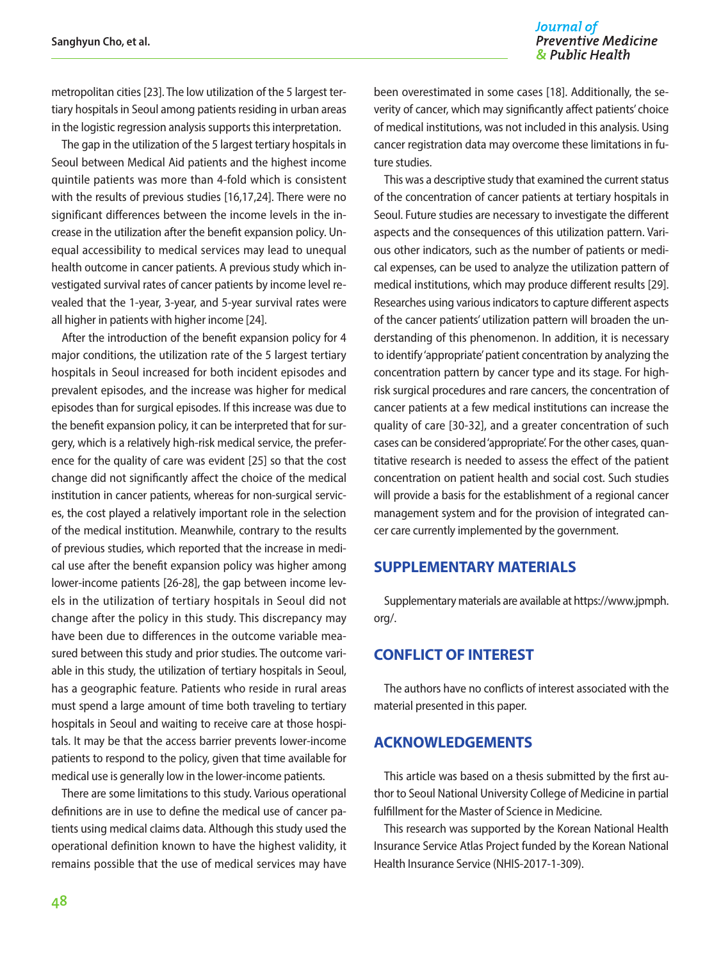metropolitan cities [23]. The low utilization of the 5 largest tertiary hospitals in Seoul among patients residing in urban areas in the logistic regression analysis supports this interpretation.

The gap in the utilization of the 5 largest tertiary hospitals in Seoul between Medical Aid patients and the highest income quintile patients was more than 4-fold which is consistent with the results of previous studies [16,17,24]. There were no significant differences between the income levels in the increase in the utilization after the benefit expansion policy. Unequal accessibility to medical services may lead to unequal health outcome in cancer patients. A previous study which investigated survival rates of cancer patients by income level revealed that the 1-year, 3-year, and 5-year survival rates were all higher in patients with higher income [24].

After the introduction of the benefit expansion policy for 4 major conditions, the utilization rate of the 5 largest tertiary hospitals in Seoul increased for both incident episodes and prevalent episodes, and the increase was higher for medical episodes than for surgical episodes. If this increase was due to the benefit expansion policy, it can be interpreted that for surgery, which is a relatively high-risk medical service, the preference for the quality of care was evident [25] so that the cost change did not significantly affect the choice of the medical institution in cancer patients, whereas for non-surgical services, the cost played a relatively important role in the selection of the medical institution. Meanwhile, contrary to the results of previous studies, which reported that the increase in medical use after the benefit expansion policy was higher among lower-income patients [26-28], the gap between income levels in the utilization of tertiary hospitals in Seoul did not change after the policy in this study. This discrepancy may have been due to differences in the outcome variable measured between this study and prior studies. The outcome variable in this study, the utilization of tertiary hospitals in Seoul, has a geographic feature. Patients who reside in rural areas must spend a large amount of time both traveling to tertiary hospitals in Seoul and waiting to receive care at those hospitals. It may be that the access barrier prevents lower-income patients to respond to the policy, given that time available for medical use is generally low in the lower-income patients.

There are some limitations to this study. Various operational definitions are in use to define the medical use of cancer patients using medical claims data. Although this study used the operational definition known to have the highest validity, it remains possible that the use of medical services may have

been overestimated in some cases [18]. Additionally, the severity of cancer, which may significantly affect patients' choice of medical institutions, was not included in this analysis. Using cancer registration data may overcome these limitations in future studies.

This was a descriptive study that examined the current status of the concentration of cancer patients at tertiary hospitals in Seoul. Future studies are necessary to investigate the different aspects and the consequences of this utilization pattern. Various other indicators, such as the number of patients or medical expenses, can be used to analyze the utilization pattern of medical institutions, which may produce different results [29]. Researches using various indicators to capture different aspects of the cancer patients' utilization pattern will broaden the understanding of this phenomenon. In addition, it is necessary to identify 'appropriate' patient concentration by analyzing the concentration pattern by cancer type and its stage. For highrisk surgical procedures and rare cancers, the concentration of cancer patients at a few medical institutions can increase the quality of care [30-32], and a greater concentration of such cases can be considered 'appropriate'. For the other cases, quantitative research is needed to assess the effect of the patient concentration on patient health and social cost. Such studies will provide a basis for the establishment of a regional cancer management system and for the provision of integrated cancer care currently implemented by the government.

## **SUPPLEMENTARY MATERIALS**

Supplementary materials are available at [https://www.jpmph.](https://www.jpmph.org/)  [org/.](https://www.jpmph.org/)

## **CONFLICT OF INTEREST**

The authors have no conflicts of interest associated with the material presented in this paper.

#### **ACKNOWLEDGEMENTS**

This article was based on a thesis submitted by the first author to Seoul National University College of Medicine in partial fulfillment for the Master of Science in Medicine.

This research was supported by the Korean National Health Insurance Service Atlas Project funded by the Korean National Health Insurance Service (NHIS-2017-1-309).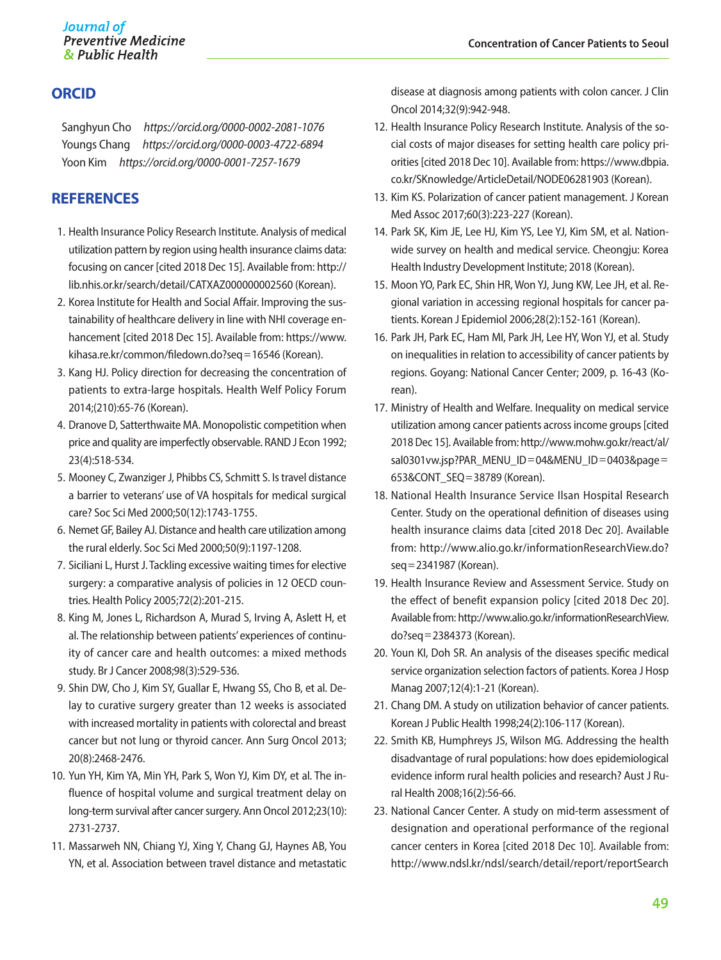## **ORCID**

Sanghyun Cho *https://orcid.org/0000-0002-2081-1076* Youngs Chang *https://orcid.org/0000-0003-4722-6894* Yoon Kim *https://orcid.org/0000-0001-7257-1679*

## **REFERENCES**

- 1. Health Insurance Policy Research Institute. Analysis of medical utilization pattern by region using health insurance claims data: focusing on cancer [cited 2018 Dec 15]. Available from: http:// lib.nhis.or.kr/search/detail/CATXAZ000000002560 (Korean).
- 2. Korea Institute for Health and Social Affair. Improving the sustainability of healthcare delivery in line with NHI coverage enhancement [cited 2018 Dec 15]. Available from: https://www. kihasa.re.kr/common/filedown.do?seq=16546 (Korean).
- 3. Kang HJ. Policy direction for decreasing the concentration of patients to extra-large hospitals. Health Welf Policy Forum 2014;(210):65-76 (Korean).
- 4. Dranove D, Satterthwaite MA. Monopolistic competition when price and quality are imperfectly observable. RAND J Econ 1992; 23(4):518-534.
- 5. Mooney C, Zwanziger J, Phibbs CS, Schmitt S. Is travel distance a barrier to veterans' use of VA hospitals for medical surgical care? Soc Sci Med 2000;50(12):1743-1755.
- 6. Nemet GF, Bailey AJ. Distance and health care utilization among the rural elderly. Soc Sci Med 2000;50(9):1197-1208.
- 7. Siciliani L, Hurst J. Tackling excessive waiting times for elective surgery: a comparative analysis of policies in 12 OECD countries. Health Policy 2005;72(2):201-215.
- 8. King M, Jones L, Richardson A, Murad S, Irving A, Aslett H, et al. The relationship between patients' experiences of continuity of cancer care and health outcomes: a mixed methods study. Br J Cancer 2008;98(3):529-536.
- 9. Shin DW, Cho J, Kim SY, Guallar E, Hwang SS, Cho B, et al. Delay to curative surgery greater than 12 weeks is associated with increased mortality in patients with colorectal and breast cancer but not lung or thyroid cancer. Ann Surg Oncol 2013; 20(8):2468-2476.
- 10. Yun YH, Kim YA, Min YH, Park S, Won YJ, Kim DY, et al. The influence of hospital volume and surgical treatment delay on long-term survival after cancer surgery. Ann Oncol 2012;23(10): 2731-2737.
- 11. Massarweh NN, Chiang YJ, Xing Y, Chang GJ, Haynes AB, You YN, et al. Association between travel distance and metastatic

disease at diagnosis among patients with colon cancer. J Clin Oncol 2014;32(9):942-948.

- 12. Health Insurance Policy Research Institute. Analysis of the social costs of major diseases for setting health care policy priorities [cited 2018 Dec 10]. Available from: [https://www.dbpia.](https://www.dbpia.co.kr/SKnowledge/ArticleDetail/NODE06281903) [co.kr/SKnowledge/ArticleDetail/NODE06281903](https://www.dbpia.co.kr/SKnowledge/ArticleDetail/NODE06281903) (Korean).
- 13. Kim KS. Polarization of cancer patient management. J Korean Med Assoc 2017;60(3):223-227 (Korean).
- 14. Park SK, Kim JE, Lee HJ, Kim YS, Lee YJ, Kim SM, et al. Nationwide survey on health and medical service. Cheongju: Korea Health Industry Development Institute; 2018 (Korean).
- 15. Moon YO, Park EC, Shin HR, Won YJ, Jung KW, Lee JH, et al. Regional variation in accessing regional hospitals for cancer patients. Korean J Epidemiol 2006;28(2):152-161 (Korean).
- 16. Park JH, Park EC, Ham MI, Park JH, Lee HY, Won YJ, et al. Study on inequalities in relation to accessibility of cancer patients by regions. Goyang: National Cancer Center; 2009, p. 16-43 (Korean).
- 17. Ministry of Health and Welfare. Inequality on medical service utilization among cancer patients across income groups [cited 2018 Dec 15]. Available from: [http://www.mohw.go.kr/react/al/](http://www.mohw.go.kr/react/al/sal0301vw.jsp?PAR_MENU_ID=04&MENU_ID=0403&page=653&CONT_SEQ=38789)  [sal0301vw.jsp?PAR\\_MENU\\_ID](http://www.mohw.go.kr/react/al/sal0301vw.jsp?PAR_MENU_ID=04&MENU_ID=0403&page=653&CONT_SEQ=38789)=04&MENU\_ID=0403&page= [653&CONT\\_SEQ](http://www.mohw.go.kr/react/al/sal0301vw.jsp?PAR_MENU_ID=04&MENU_ID=0403&page=653&CONT_SEQ=38789)=38789 (Korean).
- 18. National Health Insurance Service Ilsan Hospital Research Center. Study on the operational definition of diseases using health insurance claims data [cited 2018 Dec 20]. Available from: [http://www.alio.go.kr/informationResearchView.do?](http://www.alio.go.kr/informationResearchView.do?seq=2341987)  seq=[2341987](http://www.alio.go.kr/informationResearchView.do?seq=2341987) (Korean).
- 19. Health Insurance Review and Assessment Service. Study on the effect of benefit expansion policy [cited 2018 Dec 20]. Available from: [http://www.alio.go.kr/informationResearchView.](http://www.alio.go.kr/informationResearchView.do?seq=2384373)  do?seq=[2384373](http://www.alio.go.kr/informationResearchView.do?seq=2384373) (Korean).
- 20. Youn KI, Doh SR. An analysis of the diseases specific medical service organization selection factors of patients. Korea J Hosp Manag 2007;12(4):1-21 (Korean).
- 21. Chang DM. A study on utilization behavior of cancer patients. Korean J Public Health 1998;24(2):106-117 (Korean).
- 22. Smith KB, Humphreys JS, Wilson MG. Addressing the health disadvantage of rural populations: how does epidemiological evidence inform rural health policies and research? Aust J Rural Health 2008;16(2):56-66.
- 23. National Cancer Center. A study on mid-term assessment of designation and operational performance of the regional cancer centers in Korea [cited 2018 Dec 10]. Available from: [http://www.ndsl.kr/ndsl/search/detail/report/reportSearch](http://www.ndsl.kr/ndsl/search/detail/report/reportSearchResultDetail.do?cn=TRKO201700009041)